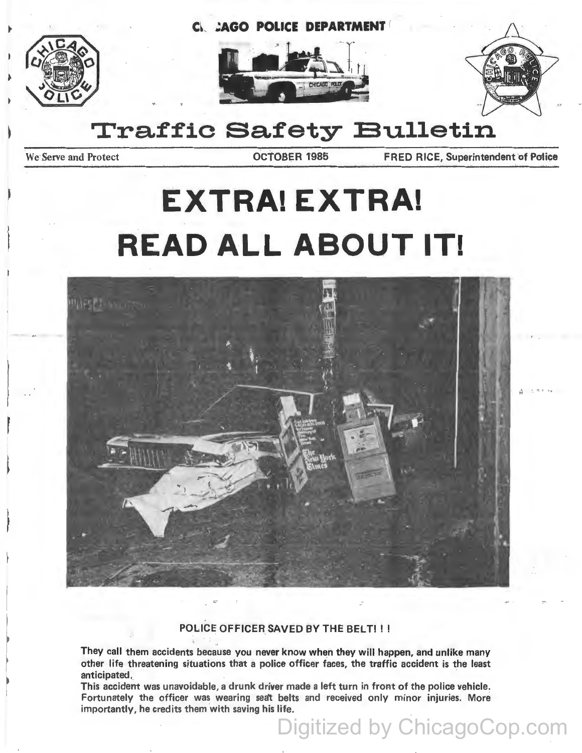C~ **;AGO POLICE DEPARTMENT** (







# **Traffic Safety Bulletin**

We Serve and Protect **CCTOBER 1985 FRED RICE, Superintendent of Police** 

# **EXTRA! EXTRA! READ ALL ABOUT IT!**



## POLICE OFFICER SAVED BY THE BELT! !!

They call them accidents because you never know when they will happen, and unlike many other life threatening situations that a police officer faces, the traffic accident is the least anticipated.

This accident was unavoidable, a drunk driver made a left turn in front of the police vehicle. Fortunately the officer was wearing seat belts and received only minor injuries. More importantly, he credits them with saving his life.

Digitized by ChicagoCop.com